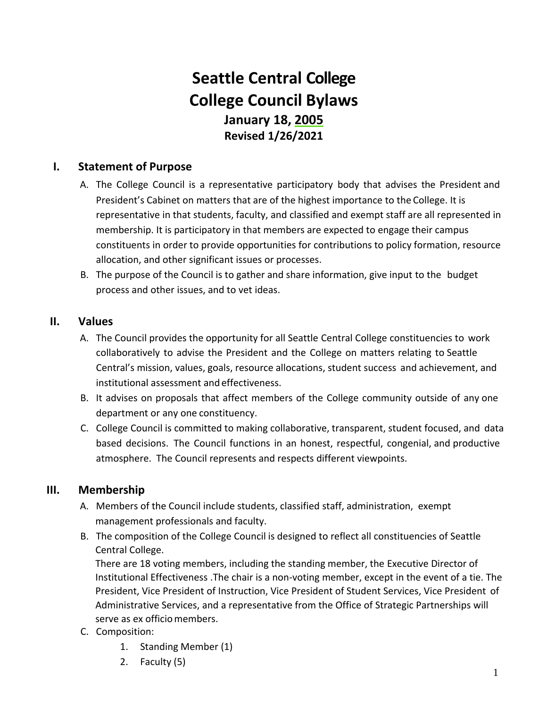# **Seattle Central College College Council Bylaws January 18, 2005 Revised 1/26/2021**

#### **I. Statement of Purpose**

- A. The College Council is a representative participatory body that advises the President and President's Cabinet on matters that are of the highest importance to the College. It is representative in that students, faculty, and classified and exempt staff are all represented in membership. It is participatory in that members are expected to engage their campus constituents in order to provide opportunities for contributions to policy formation, resource allocation, and other significant issues or processes.
- B. The purpose of the Council is to gather and share information, give input to the budget process and other issues, and to vet ideas.

#### **II. Values**

- A. The Council provides the opportunity for all Seattle Central College constituencies to work collaboratively to advise the President and the College on matters relating to Seattle Central's mission, values, goals, resource allocations, student success and achievement, and institutional assessment and effectiveness.
- B. It advises on proposals that affect members of the College community outside of any one department or any one constituency.
- C. College Council is committed to making collaborative, transparent, student focused, and data based decisions. The Council functions in an honest, respectful, congenial, and productive atmosphere. The Council represents and respects different viewpoints.

#### **III. Membership**

- A. Members of the Council include students, classified staff, administration, exempt management professionals and faculty.
- B. The composition of the College Council is designed to reflect all constituencies of Seattle Central College.

There are 18 voting members, including the standing member, the Executive Director of Institutional Effectiveness .The chair is a non-voting member, except in the event of a tie. The President, Vice President of Instruction, Vice President of Student Services, Vice President of Administrative Services, and a representative from the Office of Strategic Partnerships will serve as ex officio members.

- C. Composition:
	- 1. Standing Member (1)
	- 2. Faculty (5)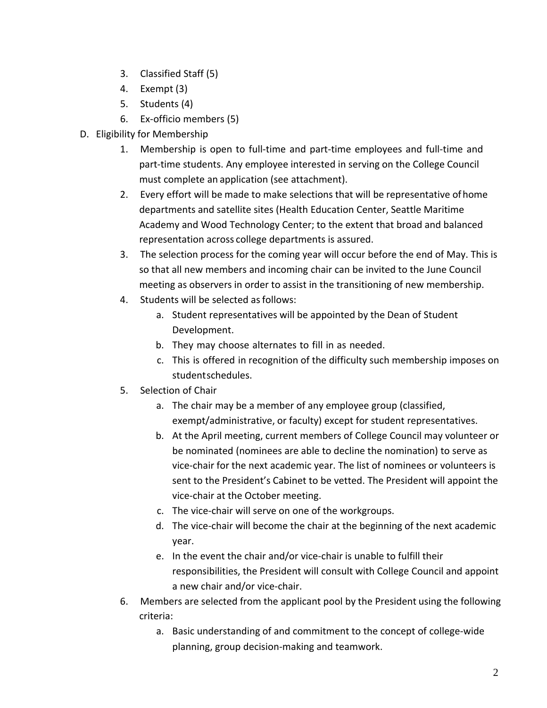- 3. Classified Staff (5)
- 4. Exempt (3)
- 5. Students (4)
- 6. Ex-officio members (5)
- D. Eligibility for Membership
	- 1. Membership is open to full-time and part-time employees and full-time and part-time students. Any employee interested in serving on the College Council must complete an application (see attachment).
	- 2. Every effort will be made to make selections that will be representative of home departments and satellite sites (Health Education Center, Seattle Maritime Academy and Wood Technology Center; to the extent that broad and balanced representation across college departments is assured.
	- 3. The selection process for the coming year will occur before the end of May. This is so that all new members and incoming chair can be invited to the June Council meeting as observers in order to assist in the transitioning of new membership.
	- 4. Students will be selected as follows:
		- a. Student representatives will be appointed by the Dean of Student Development.
		- b. They may choose alternates to fill in as needed.
		- c. This is offered in recognition of the difficulty such membership imposes on student schedules.
	- 5. Selection of Chair
		- a. The chair may be a member of any employee group (classified, exempt/administrative, or faculty) except for student representatives.
		- b. At the April meeting, current members of College Council may volunteer or be nominated (nominees are able to decline the nomination) to serve as vice-chair for the next academic year. The list of nominees or volunteers is sent to the President's Cabinet to be vetted. The President will appoint the vice-chair at the October meeting.
		- c. The vice-chair will serve on one of the workgroups.
		- d. The vice-chair will become the chair at the beginning of the next academic year.
		- e. In the event the chair and/or vice-chair is unable to fulfill their responsibilities, the President will consult with College Council and appoint a new chair and/or vice-chair.
	- 6. Members are selected from the applicant pool by the President using the following criteria:
		- a. Basic understanding of and commitment to the concept of college-wide planning, group decision-making and teamwork.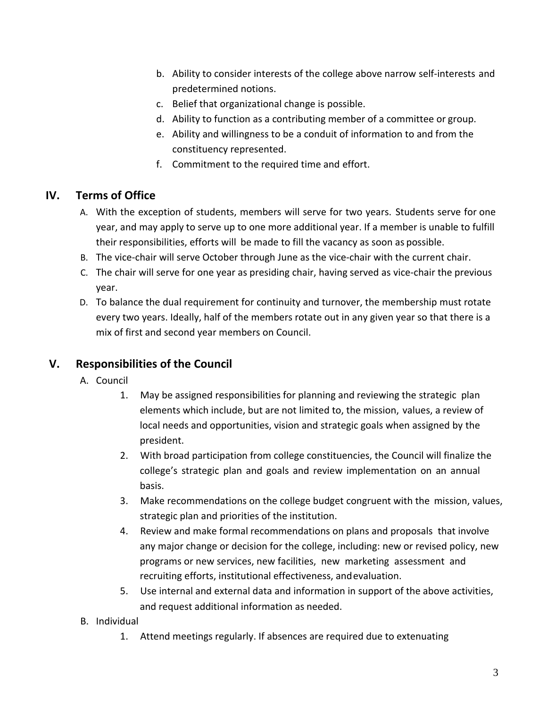- b. Ability to consider interests of the college above narrow self-interests and predetermined notions.
- c. Belief that organizational change is possible.
- d. Ability to function as a contributing member of a committee or group.
- e. Ability and willingness to be a conduit of information to and from the constituency represented.
- f. Commitment to the required time and effort.

## **IV. Terms of Office**

- A. With the exception of students, members will serve for two years. Students serve for one year, and may apply to serve up to one more additional year. If a member is unable to fulfill their responsibilities, efforts will be made to fill the vacancy as soon as possible.
- B. The vice-chair will serve October through June as the vice-chair with the current chair.
- C. The chair will serve for one year as presiding chair, having served as vice-chair the previous year.
- D. To balance the dual requirement for continuity and turnover, the membership must rotate every two years. Ideally, half of the members rotate out in any given year so that there is a mix of first and second year members on Council.

## **V. Responsibilities of the Council**

- A. Council
	- 1. May be assigned responsibilities for planning and reviewing the strategic plan elements which include, but are not limited to, the mission, values, a review of local needs and opportunities, vision and strategic goals when assigned by the president.
	- 2. With broad participation from college constituencies, the Council will finalize the college's strategic plan and goals and review implementation on an annual basis.
	- 3. Make recommendations on the college budget congruent with the mission, values, strategic plan and priorities of the institution.
	- 4. Review and make formal recommendations on plans and proposals that involve any major change or decision for the college, including: new or revised policy, new programs or new services, new facilities, new marketing assessment and recruiting efforts, institutional effectiveness, and evaluation.
	- 5. Use internal and external data and information in support of the above activities, and request additional information as needed.
- B. Individual
	- 1. Attend meetings regularly. If absences are required due to extenuating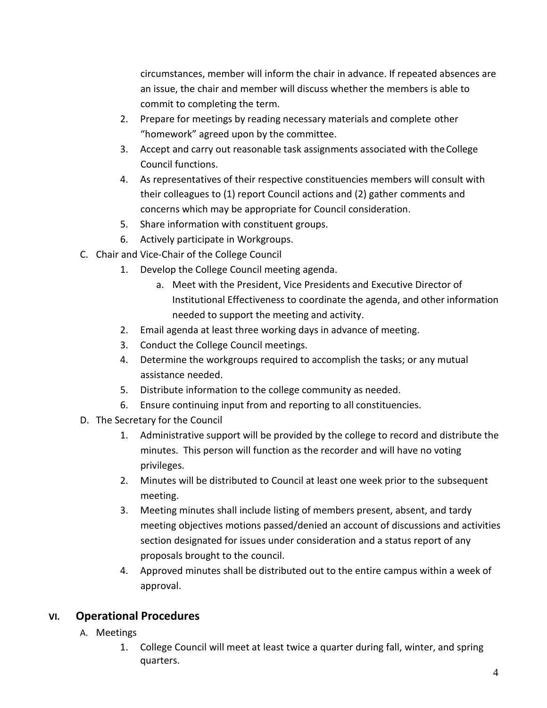circumstances, member will inform the chair in advance. If repeated absences are an issue, the chair and member will discuss whether the members is able to commit to completing the term.

- 2. Prepare for meetings by reading necessary materials and complete other "homework" agreed upon by the committee.
- 3. Accept and carry out reasonable task assignments associated with theCollege Council functions.
- 4. As representatives of their respective constituencies members will consult with their colleagues to (1) report Council actions and (2) gather comments and concerns which may be appropriate for Council consideration.
- 5. Share information with constituent groups.
- 6. Actively participate in Workgroups.
- C. Chair and Vice-Chair of the College Council
	- 1. Develop the College Council meeting agenda.
		- a. Meet with the President, Vice Presidents and Executive Director of Institutional Effectiveness to coordinate the agenda, and other information needed to support the meeting and activity.
	- 2. Email agenda at least three working days in advance of meeting.
	- 3. Conduct the College Council meetings.
	- 4. Determine the workgroups required to accomplish the tasks; or any mutual assistance needed.
	- 5. Distribute information to the college community as needed.
	- 6. Ensure continuing input from and reporting to all constituencies.
- D. The Secretary for the Council
	- 1. Administrative support will be provided by the college to record and distribute the minutes. This person will function as the recorder and will have no voting privileges.
	- 2. Minutes will be distributed to Council at least one week prior to the subsequent meeting.
	- 3. Meeting minutes shall include listing of members present, absent, and tardy meeting objectives motions passed/denied an account of discussions and activities section designated for issues under consideration and a status report of any proposals brought to the council.
	- 4. Approved minutes shall be distributed out to the entire campus within a week of approval.

## **VI. Operational Procedures**

- A. Meetings
	- 1. College Council will meet at least twice a quarter during fall, winter, and spring quarters.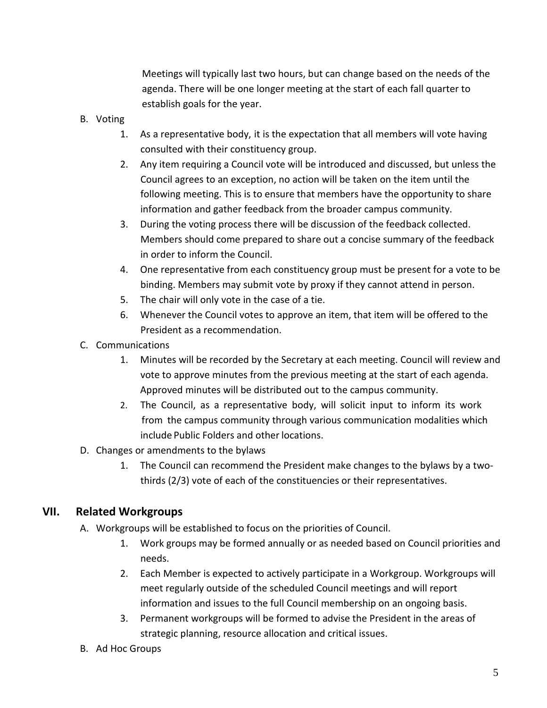Meetings will typically last two hours, but can change based on the needs of the agenda. There will be one longer meeting at the start of each fall quarter to establish goals for the year.

- B. Voting
	- 1. As a representative body, it is the expectation that all members will vote having consulted with their constituency group.
	- 2. Any item requiring a Council vote will be introduced and discussed, but unless the Council agrees to an exception, no action will be taken on the item until the following meeting. This is to ensure that members have the opportunity to share information and gather feedback from the broader campus community.
	- 3. During the voting process there will be discussion of the feedback collected. Members should come prepared to share out a concise summary of the feedback in order to inform the Council.
	- 4. One representative from each constituency group must be present for a vote to be binding. Members may submit vote by proxy if they cannot attend in person.
	- 5. The chair will only vote in the case of a tie.
	- 6. Whenever the Council votes to approve an item, that item will be offered to the President as a recommendation.
- C. Communications
	- 1. Minutes will be recorded by the Secretary at each meeting. Council will review and vote to approve minutes from the previous meeting at the start of each agenda. Approved minutes will be distributed out to the campus community.
	- 2. The Council, as a representative body, will solicit input to inform its work from the campus community through various communication modalities which include Public Folders and other locations.
- D. Changes or amendments to the bylaws
	- 1. The Council can recommend the President make changes to the bylaws by a two thirds (2/3) vote of each of the constituencies or their representatives.

#### **VII. Related Workgroups**

- A. Workgroups will be established to focus on the priorities of Council.
	- 1. Work groups may be formed annually or as needed based on Council priorities and needs.
	- 2. Each Member is expected to actively participate in a Workgroup. Workgroups will meet regularly outside of the scheduled Council meetings and will report information and issues to the full Council membership on an ongoing basis.
	- 3. Permanent workgroups will be formed to advise the President in the areas of strategic planning, resource allocation and critical issues.
- B. Ad Hoc Groups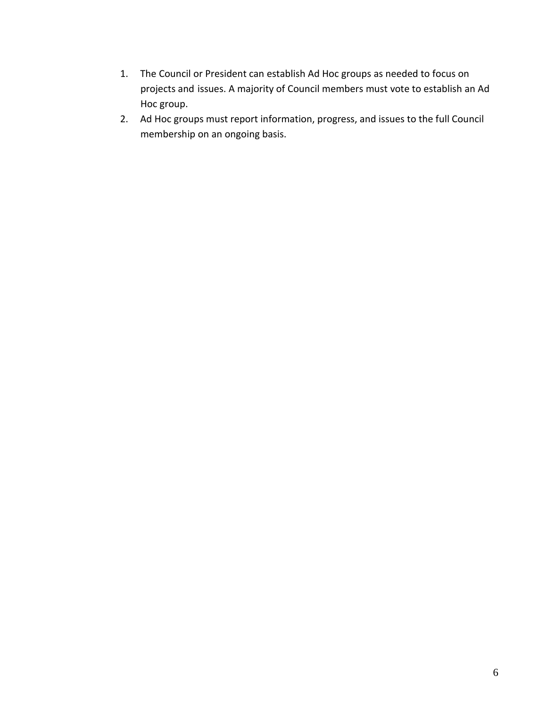- 1. The Council or President can establish Ad Hoc groups as needed to focus on projects and issues. A majority of Council members must vote to establish an Ad Hoc group.
- 2. Ad Hoc groups must report information, progress, and issues to the full Council membership on an ongoing basis.